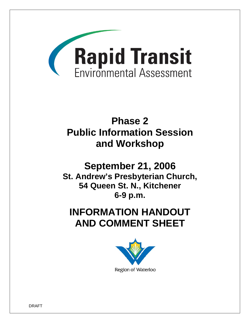

# **Phase 2 Public Information Session and Workshop**

# **September 21, 2006 St. Andrew's Presbyterian Church, 54 Queen St. N., Kitchener 6-9 p.m.**

# **INFORMATION HANDOUT AND COMMENT SHEET**



DRAFT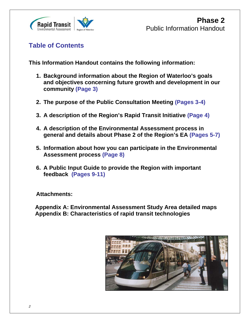

**Table of Contents** 

**This Information Handout contains the following information:** 

- **1. Background information about the Region of Waterloo's goals and objectives concerning future growth and development in our community (Page 3)**
- **2. The purpose of the Public Consultation Meeting (Pages 3-4)**
- **3. A description of the Region's Rapid Transit Initiative (Page 4)**
- **4. A description of the Environmental Assessment process in general and details about Phase 2 of the Region's EA (Pages 5-7)**
- **5. Information about how you can participate in the Environmental Assessment process (Page 8)**
- **6. A Public Input Guide to provide the Region with important feedback (Pages 9-11)**

**Attachments:** 

 **Appendix A: Environmental Assessment Study Area detailed maps Appendix B: Characteristics of rapid transit technologies** 

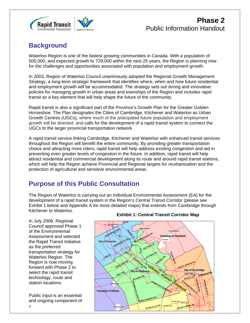

# **Background**

Waterloo Region is one of the fastest growing communities in Canada. With a population of 500,000, and expected growth to 729,000 within the next 25 years, the Region is planning now for the challenges and opportunities associated with population and employment growth.

In 2003, Region of Waterloo Council unanimously adopted the Regional Growth Management Strategy, a long-term strategic framework that identifies where, when and how future residential and employment growth will be accommodated. The strategy sets out strong and innovative policies for managing growth in urban areas and townships of the Region and includes rapid transit as a key element that will help shape the future of the community.

Rapid transit is also a significant part of the Province's Growth Plan for the Greater Golden Horseshoe. The Plan designates the Cities of Cambridge, Kitchener and Waterloo as Urban Growth Centres (UGCs), where much of the anticipated future population and employment growth will be directed, and calls for the development of a rapid transit system to connect the UGCs to the larger provincial transportation network.

A rapid transit service linking Cambridge, Kitchener and Waterloo with enhanced transit services throughout the Region will benefit the entire community. By providing greater transportation choice and attracting more riders, rapid transit will help address existing congestion and aid in preventing even greater levels of congestion in the future. In addition, rapid transit will help attract residential and commercial development along its route and around rapid transit stations, which will help the Region achieve Provincial and Regional targets for reurbanization and the protection of agricultural and sensitive environmental areas.

# **Purpose of this Public Consultation**

The Region of Waterloo is carrying out an Individual Environmental Assessment (EA) for the development of a rapid transit system in the Region's Central Transit Corridor (please see Exhibit 1 below and Appendix A for more detailed maps) that extends from Cambridge through Kitchener to Waterloo.

In July 2006, Regional Council approved Phase 1 of the Environmental Assessment and selected the Rapid Transit Initiative as the preferred transportation strategy for Waterloo Region. The Region is now moving forward with Phase 2 to select the rapid transit technology, route and station locations.

Public input is an essential and ongoing component of

## **Exhibit 1: Central Transit Corridor Map**

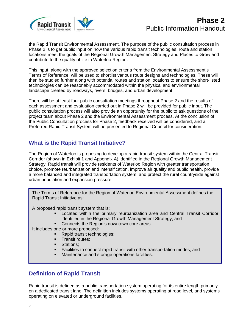

# **Phase 2** Public Information Handout

the Rapid Transit Environmental Assessment. The purpose of the public consultation process in Phase 2 is to get public input on how the various rapid transit technologies, route and station locations meet the goals of the Regional Growth Management Strategy and Places to Grow and contribute to the quality of life in Waterloo Region.

This input, along with the approved selection criteria from the Environmental Assessment's Terms of Reference, will be used to shortlist various route designs and technologies. These will then be studied further along with potential routes and station locations to ensure the short-listed technologies can be reasonably accommodated within the physical and environmental landscape created by roadways, rivers, bridges, and urban development.

There will be at least four public consultation meetings throughout Phase 2 and the results of each assessment and evaluation carried out in Phase 2 will be provided for public input. The public consultation process will also provide an opportunity for the public to ask questions of the project team about Phase 2 and the Environmental Assessment process. At the conclusion of the Public Consultation process for Phase 2, feedback received will be considered, and a Preferred Rapid Transit System will be presented to Regional Council for consideration.

## **What is the Rapid Transit Initiative?**

The Region of Waterloo is proposing to develop a rapid transit system within the Central Transit Corridor (shown in Exhibit 1 and Appendix A) identified in the Regional Growth Management Strategy. Rapid transit will provide residents of Waterloo Region with greater transportation choice, promote reurbanization and intensification, improve air quality and public health, provide a more balanced and integrated transportation system, and protect the rural countryside against urban population and expansion pressure.

The Terms of Reference for the Region of Waterloo Environmental Assessment defines the Rapid Transit Initiative as:

A proposed rapid transit system that is:

- Located within the primary reurbanization area and Central Transit Corridor identified in the Regional Growth Management Strategy; and
- Connects the Region's downtown core areas.

It includes one or more proposed:

- Rapid transit technologies;
- Transit routes;
- **Stations:**
- **Facilities to connect rapid transit with other transportation modes; and**
- **Maintenance and storage operations facilities.**

## **Definition of Rapid Transit**:

Rapid transit is defined as a public transportation system operating for its entire length primarily on a dedicated transit lane. The definition includes systems operating at road level, and systems operating on elevated or underground facilities.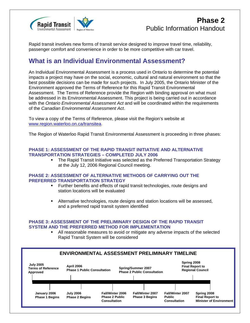

# **Phase 2** Public Information Handout

Rapid transit involves new forms of transit service designed to improve travel time, reliability, passenger comfort and convenience in order to be more competitive with car travel.

## **What is an Individual Environmental Assessment?**

An Individual Environmental Assessment is a process used in Ontario to determine the potential impacts a project may have on the social, economic, cultural and natural environment so that the best possible decisions can be made for such projects. In July 2005, the Ontario Minister of the Environment approved the Terms of Reference for this Rapid Transit Environmental Assessment. The Terms of Reference provide the Region with binding approval on what must be addressed in its Environmental Assessment. This project is being carried out in accordance with the *Ontario Environmental Assessment Act* and will be coordinated within the requirements of the *Canadian Environmental Assessment Act*.

To view a copy of the Terms of Reference, please visit the Region's website at www.region.waterloo.on.ca/transitea.

The Region of Waterloo Rapid Transit Environmental Assessment is proceeding in three phases:

### **PHASE 1: ASSESSMENT OF THE RAPID TRANSIT INITIATIVE AND ALTERNATIVE TRANSPORTATION STRATEGIES – COMPLETED JULY 2006**

• The Rapid Transit Initiative was selected as the Preferred Transportation Strategy at the July 12, 2006 Regional Council meeting.

### **PHASE 2: ASSESSMENT OF ALTERNATIVE METHODS OF CARRYING OUT THE PREFERRED TRANSPORTATION STRATEGY**

- Further benefits and effects of rapid transit technologies, route designs and station locations will be evaluated
- Alternative technologies, route designs and station locations will be assessed, and a preferred rapid transit system identified

### **PHASE 3: ASSESSMENT OF THE PRELIMINARY DESIGN OF THE RAPID TRANSIT SYSTEM AND THE PREFERRED METHOD FOR IMPLEMENTATION**

 All reasonable measures to avoid or mitigate any adverse impacts of the selected Rapid Transit System will be considered

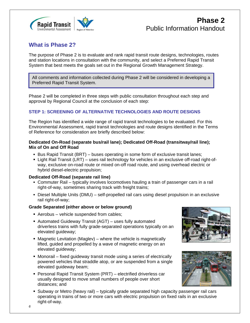

## **What is Phase 2?**

The purpose of Phase 2 is to evaluate and rank rapid transit route designs, technologies, routes and station locations in consultation with the community, and select a Preferred Rapid Transit System that best meets the goals set out in the Regional Growth Management Strategy.

**Alternatives Transit System.**<br>
<u>Alternative and Christian Christian Christian Christian Christian Christian Christian Christian Christian Christian Christian Christian Christian Christian Christian Christian Christian Chr</u> All comments and information collected during Phase 2 will be considered in developing a

Phase 2 will be completed in three steps with public consultation throughout each step and approval by Regional Council at the conclusion of each step:

## **STEP 1: SCREENING OF ALTERNATIVE TECHNOLOGIES AND ROUTE DESIGNS**

The Region has identified a wide range of rapid transit technologies to be evaluated. For this Environmental Assessment, rapid transit technologies and route designs identified in the Terms of Reference for consideration are briefly described below:

## **Dedicated On-Road (separate bus/rail lane); Dedicated Off-Road (transitway/rail line); Mix of On and Off Road**

- Bus Rapid Transit (BRT) buses operating in some form of exclusive transit lanes;
- Light Rail Transit (LRT) uses rail technology for vehicles in an exclusive off-road right-ofway, exclusive on-road route or mixed on-off road route, and using overhead electric or hybrid diesel-electric propulsion;

### **Dedicated Off-Road (separate rail line)**

- Commuter Rail typically involves locomotives hauling a train of passenger cars in a rail right-of-way, sometimes sharing track with freight trains;
- Diesel Multiple Units (DMU) self-propelled rail cars using diesel propulsion in an exclusive rail right-of-way;

### **Grade Separated (either above or below ground)**

- Aerobus vehicle suspended from cables;
- Automated Guideway Transit (AGT) uses fully automated driverless trains with fully grade-separated operations typically on an elevated guideway;
- Magnetic Levitation (Maglev) where the vehicle is magnetically lifted, guided and propelled by a wave of magnetic energy on an elevated guideway;
- Monorail fixed guideway transit mode using a series of electrically powered vehicles that straddle atop, or are suspended from a single elevated guideway beam;
- Personal Rapid Transit System (PRT) electrified driverless car usually designed to move small numbers of people over short distances; and
- **Subway or Metro (heavy rail) typically grade separated high capacity passenger rail cars** operating in trains of two or more cars with electric propulsion on fixed rails in an exclusive right-of-way.



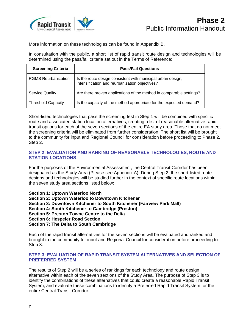

More information on these technologies can be found in Appendix B.

In consultation with the public, a short list of rapid transit route design and technologies will be determined using the pass/fail criteria set out in the Terms of Reference:

| <b>Screening Criteria</b>  | <b>Pass/Fail Questions</b>                                                                                    |
|----------------------------|---------------------------------------------------------------------------------------------------------------|
| <b>RGMS Reurbanization</b> | Is the route design consistent with municipal urban design,<br>intensification and reurbanization objectives? |
| <b>Service Quality</b>     | Are there proven applications of the method in comparable settings?                                           |
| <b>Threshold Capacity</b>  | Is the capacity of the method appropriate for the expected demand?                                            |

Short-listed technologies that pass the screening test in Step 1 will be combined with specific route and associated station location alternatives, creating a list of reasonable alternative rapid transit options for each of the seven sections of the entire EA study area. Those that do not meet the screening criteria will be eliminated from further consideration. The short list will be brought to the community for input and Regional Council for consideration before proceeding to Phase 2, Step 2.

## **STEP 2: EVALUATION AND RANKING OF REASONABLE TECHNOLOGIES, ROUTE AND STATION LOCATIONS**

For the purposes of the Environmental Assessment, the Central Transit Corridor has been designated as the Study Area (Please see Appendix A). During Step 2, the short-listed route designs and technologies will be studied further in the context of specific route locations within the seven study area sections listed below:

**Section 1: Uptown Waterloo North** 

**Section 2: Uptown Waterloo to Downtown Kitchener** 

**Section 3: Downtown Kitchener to South Kitchener (Fairview Park Mall)** 

**Section 4: South Kitchener to Cambridge (Preston)** 

**Section 5: Preston Towne Centre to the Delta** 

**Section 6: Hespeler Road Section** 

**Section 7: The Delta to South Cambridge** 

Each of the rapid transit alternatives for the seven sections will be evaluated and ranked and brought to the community for input and Regional Council for consideration before proceeding to Step 3.

## **STEP 3: EVALUATION OF RAPID TRANSIT SYSTEM ALTERNATIVES AND SELECTION OF PREFERRED SYSTEM**

The results of Step 2 will be a series of rankings for each technology and route design alternative within each of the seven sections of the Study Area. The purpose of Step 3 is to identify the combinations of these alternatives that could create a reasonable Rapid Transit System, and evaluate these combinations to identify a Preferred Rapid Transit System for the entire Central Transit Corridor.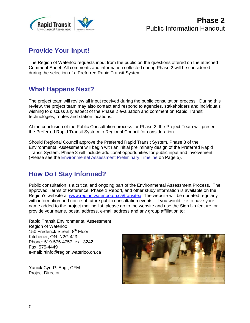

## **Provide Your Input!**

The Region of Waterloo requests input from the public on the questions offered on the attached Comment Sheet. All comments and information collected during Phase 2 will be considered during the selection of a Preferred Rapid Transit System.

## **What Happens Next?**

The project team will review all input received during the public consultation process. During this review, the project team may also contact and respond to agencies, stakeholders and individuals wishing to discuss any aspect of the Phase 2 evaluation and comment on Rapid Transit technologies, routes and station locations.

At the conclusion of the Public Consultation process for Phase 2, the Project Team will present the Preferred Rapid Transit System to Regional Council for consideration.

Should Regional Council approve the Preferred Rapid Transit System, Phase 3 of the Environmental Assessment will begin with an initial preliminary design of the Preferred Rapid Transit System. Phase 3 will include additional opportunities for public input and involvement. (Please see the Environmental Assessment Preliminary Timeline on Page 5).

# **How Do I Stay Informed?**

Public consultation is a critical and ongoing part of the Environmental Assessment Process. The approved Terms of Reference, Phase 1 Report, and other study information is available on the Region's website at www.region.waterloo.on.ca/transitea. The website will be updated regularly with information and notice of future public consultation events. If you would like to have your name added to the project mailing list, please go to the website and use the Sign Up feature, or provide your name, postal address, e-mail address and any group affiliation to:

Rapid Transit Environmental Assessment Region of Waterloo 150 Frederick Street, 8<sup>th</sup> Floor Kitchener, ON N2G 4J3 Phone: 519-575-4757, ext. 3242 Fax: 575-4449 e-mail: rtinfo@region.waterloo.on.ca

Yanick Cyr, P. Eng., CFM Project Director

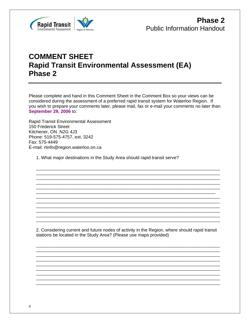

# **COMMENT SHEET Rapid Transit Environmental Assessment (EA)** Phase 2

Please complete and hand in this Comment Sheet in the Comment Box so your views can be considered during the assessment of a preferred rapid transit system for Waterloo Region. If you wish to prepare your comments later, please mail, fax or e-mail your comments no later than September 29, 2006 to:

Rapid Transit Environmental Assessment 150 Frederick Street Kitchener, ON N2G 4J3 Phone: 519-575-4757, ext. 3242 Fax: 575-4449 E-mail: rtinfo@region.waterloo.on.ca

1. What major destinations in the Study Area should rapid transit serve?

2. Considering current and future nodes of activity in the Region, where should rapid transit stations be located in the Study Area? (Please use maps provided)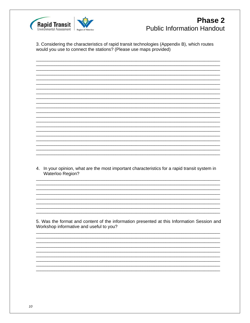

# **Phase 2 Public Information Handout**

3. Considering the characteristics of rapid transit technologies (Appendix B), which routes would you use to connect the stations? (Please use maps provided)

4. In your opinion, what are the most important characteristics for a rapid transit system in Waterloo Region?

5. Was the format and content of the information presented at this Information Session and Workshop informative and useful to you?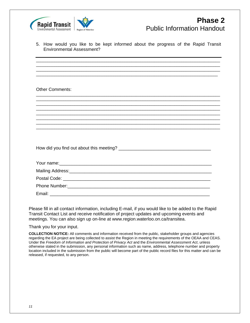

|  |                           |  |  | 5. How would you like to be kept informed about the progress of the Rapid Transit |  |  |  |  |
|--|---------------------------|--|--|-----------------------------------------------------------------------------------|--|--|--|--|
|  | Environmental Assessment? |  |  |                                                                                   |  |  |  |  |

\_\_\_\_\_\_\_\_\_\_\_\_\_\_\_\_\_\_\_\_\_\_\_\_\_\_\_\_\_\_\_\_\_\_\_\_\_\_\_\_\_\_\_\_\_\_\_\_\_\_\_\_\_\_\_\_\_\_\_\_\_\_\_\_\_\_\_\_\_\_\_\_\_\_\_\_\_\_\_\_\_ \_\_\_\_\_\_\_\_\_\_\_\_\_\_\_\_\_\_\_\_\_\_\_\_\_\_\_\_\_\_\_\_\_\_\_\_\_\_\_\_\_\_\_\_\_\_\_\_\_\_\_\_\_\_\_\_\_\_\_\_\_\_\_\_\_\_\_\_\_\_\_\_\_\_\_\_\_\_\_\_\_ \_\_\_\_\_\_\_\_\_\_\_\_\_\_\_\_\_\_\_\_\_\_\_\_\_\_\_\_\_\_\_\_\_\_\_\_\_\_\_\_\_\_\_\_\_\_\_\_\_\_\_\_\_\_\_\_\_\_\_\_\_\_\_\_\_\_\_\_\_\_\_\_\_\_\_\_\_\_\_\_\_ \_\_\_\_\_\_\_\_\_\_\_\_\_\_\_\_\_\_\_\_\_\_\_\_\_\_\_\_\_\_\_\_\_\_\_\_\_\_\_\_\_\_\_\_\_\_\_\_\_\_\_\_\_\_\_\_\_\_\_\_\_\_\_\_\_\_\_\_\_\_\_\_\_\_\_\_\_\_\_\_

\_\_\_\_\_\_\_\_\_\_\_\_\_\_\_\_\_\_\_\_\_\_\_\_\_\_\_\_\_\_\_\_\_\_\_\_\_\_\_\_\_\_\_\_\_\_\_\_\_\_\_\_\_\_\_\_\_\_\_\_\_\_\_\_\_\_\_\_\_\_\_\_\_\_\_\_\_\_\_\_\_ \_\_\_\_\_\_\_\_\_\_\_\_\_\_\_\_\_\_\_\_\_\_\_\_\_\_\_\_\_\_\_\_\_\_\_\_\_\_\_\_\_\_\_\_\_\_\_\_\_\_\_\_\_\_\_\_\_\_\_\_\_\_\_\_\_\_\_\_\_\_\_\_\_\_\_\_\_\_\_\_\_ \_\_\_\_\_\_\_\_\_\_\_\_\_\_\_\_\_\_\_\_\_\_\_\_\_\_\_\_\_\_\_\_\_\_\_\_\_\_\_\_\_\_\_\_\_\_\_\_\_\_\_\_\_\_\_\_\_\_\_\_\_\_\_\_\_\_\_\_\_\_\_\_\_\_\_\_\_\_\_\_\_ \_\_\_\_\_\_\_\_\_\_\_\_\_\_\_\_\_\_\_\_\_\_\_\_\_\_\_\_\_\_\_\_\_\_\_\_\_\_\_\_\_\_\_\_\_\_\_\_\_\_\_\_\_\_\_\_\_\_\_\_\_\_\_\_\_\_\_\_\_\_\_\_\_\_\_\_\_\_\_\_\_

\_\_\_\_\_\_\_\_\_\_\_\_\_\_\_\_\_\_\_\_\_\_\_\_\_\_\_\_\_\_\_\_\_\_\_\_\_\_\_\_\_\_\_\_\_\_\_\_\_\_\_\_\_\_\_\_\_\_\_\_\_\_\_\_\_\_\_\_\_\_\_\_\_\_\_\_\_\_\_\_\_ \_\_\_\_\_\_\_\_\_\_\_\_\_\_\_\_\_\_\_\_\_\_\_\_\_\_\_\_\_\_\_\_\_\_\_\_\_\_\_\_\_\_\_\_\_\_\_\_\_\_\_\_\_\_\_\_\_\_\_\_\_\_\_\_\_\_\_\_\_\_\_\_\_\_\_\_\_\_\_\_\_

Other Comments:

How did you find out about this meeting? \_\_\_\_\_\_\_\_\_\_\_\_\_\_\_\_\_\_\_\_\_\_\_\_\_\_\_\_\_\_\_\_\_\_\_\_\_

| Email: |  |  |
|--------|--|--|

Please fill in all contact information, including E-mail, if you would like to be added to the Rapid Transit Contact List and receive notification of project updates and upcoming events and meetings. You can also sign up on-line at www.region.waterloo.on.ca/transitea.

Thank you for your input.

**COLLECTION NOTICE:** All comments and information received from the public, stakeholder groups and agencies regarding the EA project are being collected to assist the Region in meeting the requirements of the OEAA and CEAS. Under the *Freedom of Information and Protection of Privacy Act* and the *Environmental Assessment Act*, unless otherwise stated in the submission, any personal information such as name, address, telephone number and property location included in the submission from the public will become part of the public record files for this matter and can be released, if requested, to any person.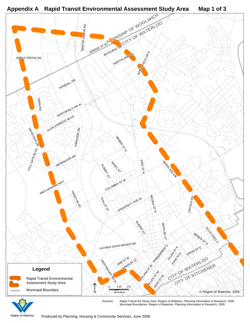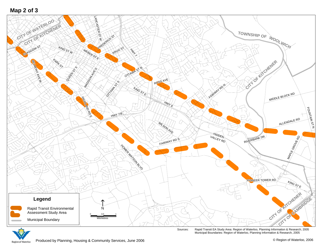



Sources: Rapid Transit EA Study Area: Region of Waterloo, Planning Information & Research, 2005 Municipal Boundaries: Region of Waterloo, Planning Information & Research, 2005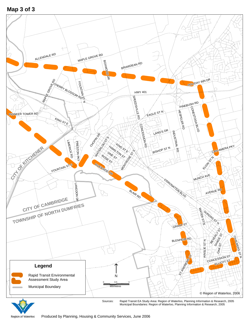Map 3 of 3